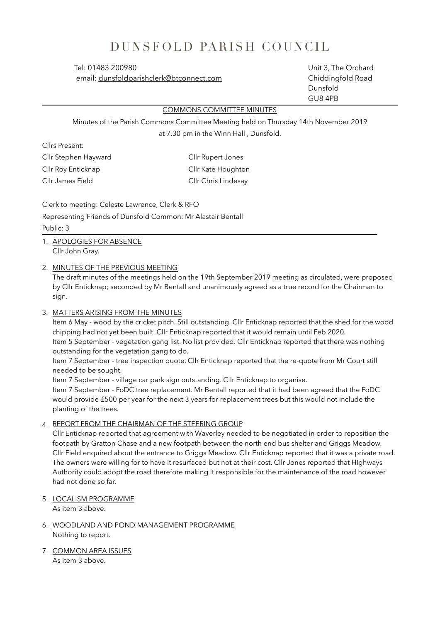## DUNSFOLD PARISH COUNCIL

email: dunsfoldparishclerk@btconnect.com Chiddingfold Road

 Tel: 01483 200980 Unit 3, The Orchard Dunsfold GU8 4PB

## COMMONS COMMITTEE MINUTES

Minutes of the Parish Commons Committee Meeting held on Thursday 14th November 2019 at 7.30 pm in the Winn Hall , Dunsfold.

Cllrs Present: Cllr Stephen Hayward Cllr Rupert Jones Cllr Roy Enticknap Cllr Kate Houghton Cllr James Field Cllr Chris Lindesay

Clerk to meeting: Celeste Lawrence, Clerk & RFO

Representing Friends of Dunsfold Common: Mr Alastair Bentall

## Public: 3

- 1. APOLOGIES FOR ABSENCE Cllr John Gray.
- 2. MINUTES OF THE PREVIOUS MEETING

The draft minutes of the meetings held on the 19th September 2019 meeting as circulated, were proposed by Cllr Enticknap; seconded by Mr Bentall and unanimously agreed as a true record for the Chairman to sign.

3. MATTERS ARISING FROM THE MINUTES

Item 6 May - wood by the cricket pitch. Still outstanding. Cllr Enticknap reported that the shed for the wood chipping had not yet been built. Cllr Enticknap reported that it would remain until Feb 2020. Item 5 September - vegetation gang list. No list provided. Cllr Enticknap reported that there was nothing outstanding for the vegetation gang to do.

Item 7 September - tree inspection quote. Cllr Enticknap reported that the re-quote from Mr Court still needed to be sought.

Item 7 September - village car park sign outstanding. Cllr Enticknap to organise.

Item 7 September - FoDC tree replacement. Mr Bentall reported that it had been agreed that the FoDC would provide £500 per year for the next 3 years for replacement trees but this would not include the planting of the trees.

4 REPORT FROM THE CHAIRMAN OF THE STEERING GROUP

Cllr Enticknap reported that agreement with Waverley needed to be negotiated in order to reposition the footpath by Gratton Chase and a new footpath between the north end bus shelter and Griggs Meadow. Cllr Field enquired about the entrance to Griggs Meadow. Cllr Enticknap reported that it was a private road. The owners were willing for to have it resurfaced but not at their cost. Cllr Jones reported that HIghways Authority could adopt the road therefore making it responsible for the maintenance of the road however had not done so far.

5. LOCALISM PROGRAMME

As item 3 above.

- 6. WOODLAND AND POND MANAGEMENT PROGRAMME Nothing to report.
- 7. COMMON AREA ISSUES As item 3 above.